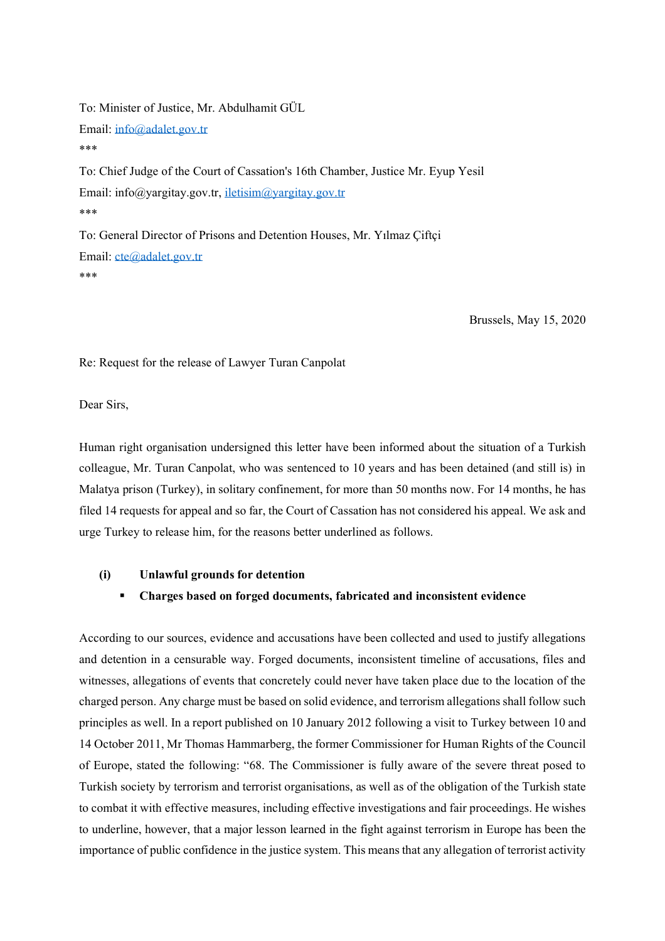To: Minister of Justice, Mr. Abdulhamit GÜL Email: [info@adalet.gov.tr](mailto:info@adalet.gov.tr) \*\*\* To: Chief Judge of the Court of Cassation's 16th Chamber, Justice Mr. Eyup Yesil Email: info@yargitay.gov.tr, [iletisim@yargitay.gov.tr](mailto:iletisim@yargitay.gov.tr) \*\*\* To: General Director of Prisons and Detention Houses, Mr. Yılmaz Çiftçi Email: [cte@adalet.gov.tr](mailto:cte@adalet.gov.tr) \*\*\*

Brussels, May 15, 2020

Re: Request for the release of Lawyer Turan Canpolat

Dear Sirs,

Human right organisation undersigned this letter have been informed about the situation of a Turkish colleague, Mr. Turan Canpolat, who was sentenced to 10 years and has been detained (and still is) in Malatya prison (Turkey), in solitary confinement, for more than 50 months now. For 14 months, he has filed 14 requests for appeal and so far, the Court of Cassation has not considered his appeal. We ask and urge Turkey to release him, for the reasons better underlined as follows.

#### **(i) Unlawful grounds for detention**

### ▪ **Charges based on forged documents, fabricated and inconsistent evidence**

According to our sources, evidence and accusations have been collected and used to justify allegations and detention in a censurable way. Forged documents, inconsistent timeline of accusations, files and witnesses, allegations of events that concretely could never have taken place due to the location of the charged person. Any charge must be based on solid evidence, and terrorism allegations shall follow such principles as well. In a report published on 10 January 2012 following a visit to Turkey between 10 and 14 October 2011, Mr Thomas Hammarberg, the former Commissioner for Human Rights of the Council of Europe, stated the following: "68. The Commissioner is fully aware of the severe threat posed to Turkish society by terrorism and terrorist organisations, as well as of the obligation of the Turkish state to combat it with effective measures, including effective investigations and fair proceedings. He wishes to underline, however, that a major lesson learned in the fight against terrorism in Europe has been the importance of public confidence in the justice system. This means that any allegation of terrorist activity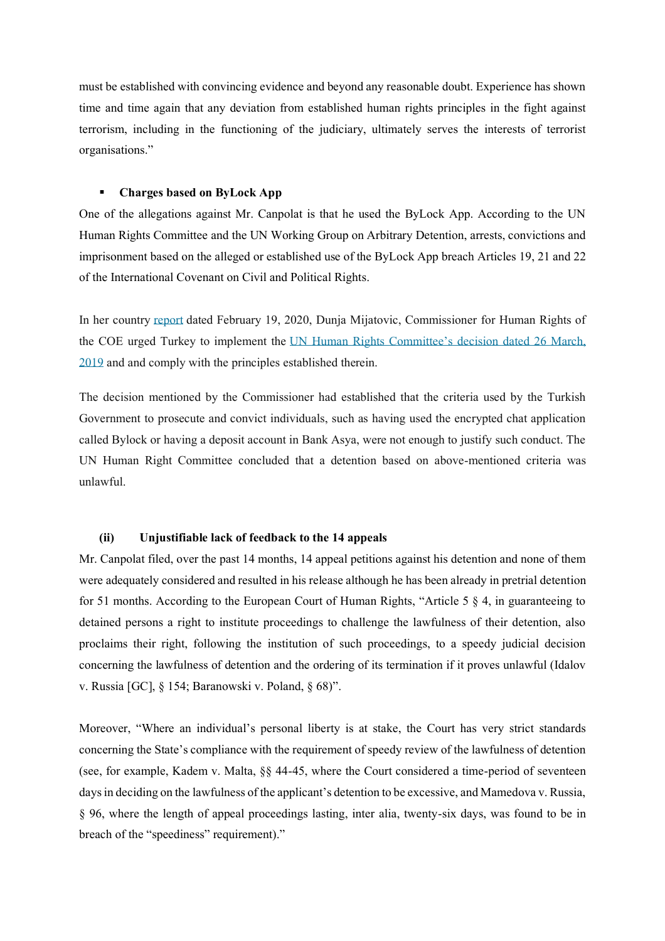must be established with convincing evidence and beyond any reasonable doubt. Experience has shown time and time again that any deviation from established human rights principles in the fight against terrorism, including in the functioning of the judiciary, ultimately serves the interests of terrorist organisations."

## ▪ **Charges based on ByLock App**

One of the allegations against Mr. Canpolat is that he used the ByLock App. According to the UN Human Rights Committee and the UN Working Group on Arbitrary Detention, arrests, convictions and imprisonment based on the alleged or established use of the ByLock App breach Articles 19, 21 and 22 of the International Covenant on Civil and Political Rights.

In her country [report](https://arrestedlawyers.files.wordpress.com/2020/02/commdh20201-report-on-turkey_en.docx.pdf) dated February 19, 2020, Dunja Mijatovic, Commissioner for Human Rights of the COE urged Turkey to implement the UN Human Rights [Committee's](https://arrestedlawyers.files.wordpress.com/2018/12/ccpr_c_125_d_2980_2017_28518_e.pdf) decision dated 26 March, [2019](https://arrestedlawyers.files.wordpress.com/2018/12/ccpr_c_125_d_2980_2017_28518_e.pdf) and and comply with the principles established therein.

The decision mentioned by the Commissioner had established that the criteria used by the Turkish Government to prosecute and convict individuals, such as having used the encrypted chat application called Bylock or having a deposit account in Bank Asya, were not enough to justify such conduct. The UN Human Right Committee concluded that a detention based on above-mentioned criteria was unlawful.

### **(ii) Unjustifiable lack of feedback to the 14 appeals**

Mr. Canpolat filed, over the past 14 months, 14 appeal petitions against his detention and none of them were adequately considered and resulted in his release although he has been already in pretrial detention for 51 months. According to the European Court of Human Rights, "Article 5 § 4, in guaranteeing to detained persons a right to institute proceedings to challenge the lawfulness of their detention, also proclaims their right, following the institution of such proceedings, to a speedy judicial decision concerning the lawfulness of detention and the ordering of its termination if it proves unlawful (Idalov v. Russia [GC], § 154; Baranowski v. Poland, § 68)".

Moreover, "Where an individual's personal liberty is at stake, the Court has very strict standards concerning the State's compliance with the requirement of speedy review of the lawfulness of detention (see, for example, Kadem v. Malta, §§ 44-45, where the Court considered a time-period of seventeen days in deciding on the lawfulness of the applicant's detention to be excessive, and Mamedova v. Russia, § 96, where the length of appeal proceedings lasting, inter alia, twenty-six days, was found to be in breach of the "speediness" requirement)."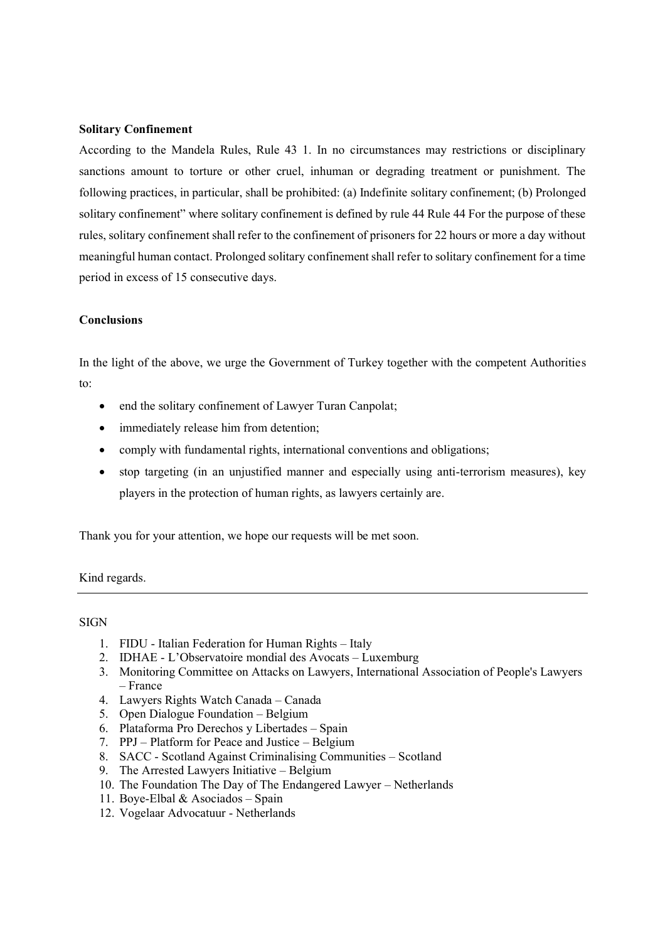## **Solitary Confinement**

According to the Mandela Rules, Rule 43 1. In no circumstances may restrictions or disciplinary sanctions amount to torture or other cruel, inhuman or degrading treatment or punishment. The following practices, in particular, shall be prohibited: (a) Indefinite solitary confinement; (b) Prolonged solitary confinement" where solitary confinement is defined by rule 44 Rule 44 For the purpose of these rules, solitary confinement shall refer to the confinement of prisoners for 22 hours or more a day without meaningful human contact. Prolonged solitary confinement shall refer to solitary confinement for a time period in excess of 15 consecutive days.

#### **Conclusions**

In the light of the above, we urge the Government of Turkey together with the competent Authorities to:

- end the solitary confinement of Lawyer Turan Canpolat;
- immediately release him from detention;
- comply with fundamental rights, international conventions and obligations;
- stop targeting (in an unjustified manner and especially using anti-terrorism measures), key players in the protection of human rights, as lawyers certainly are.

Thank you for your attention, we hope our requests will be met soon.

Kind regards.

## **SIGN**

- 1. FIDU Italian Federation for Human Rights Italy
- 2. IDHAE L'Observatoire mondial des Avocats Luxemburg
- 3. Monitoring Committee on Attacks on Lawyers, International Association of People's Lawyers – France
- 4. Lawyers Rights Watch Canada Canada
- 5. Open Dialogue Foundation Belgium
- 6. Plataforma Pro Derechos y Libertades Spain
- 7. PPJ Platform for Peace and Justice Belgium
- 8. SACC Scotland Against Criminalising Communities Scotland
- 9. The Arrested Lawyers Initiative Belgium
- 10. The Foundation The Day of The Endangered Lawyer Netherlands
- 11. Boye-Elbal & Asociados Spain
- 12. Vogelaar Advocatuur Netherlands